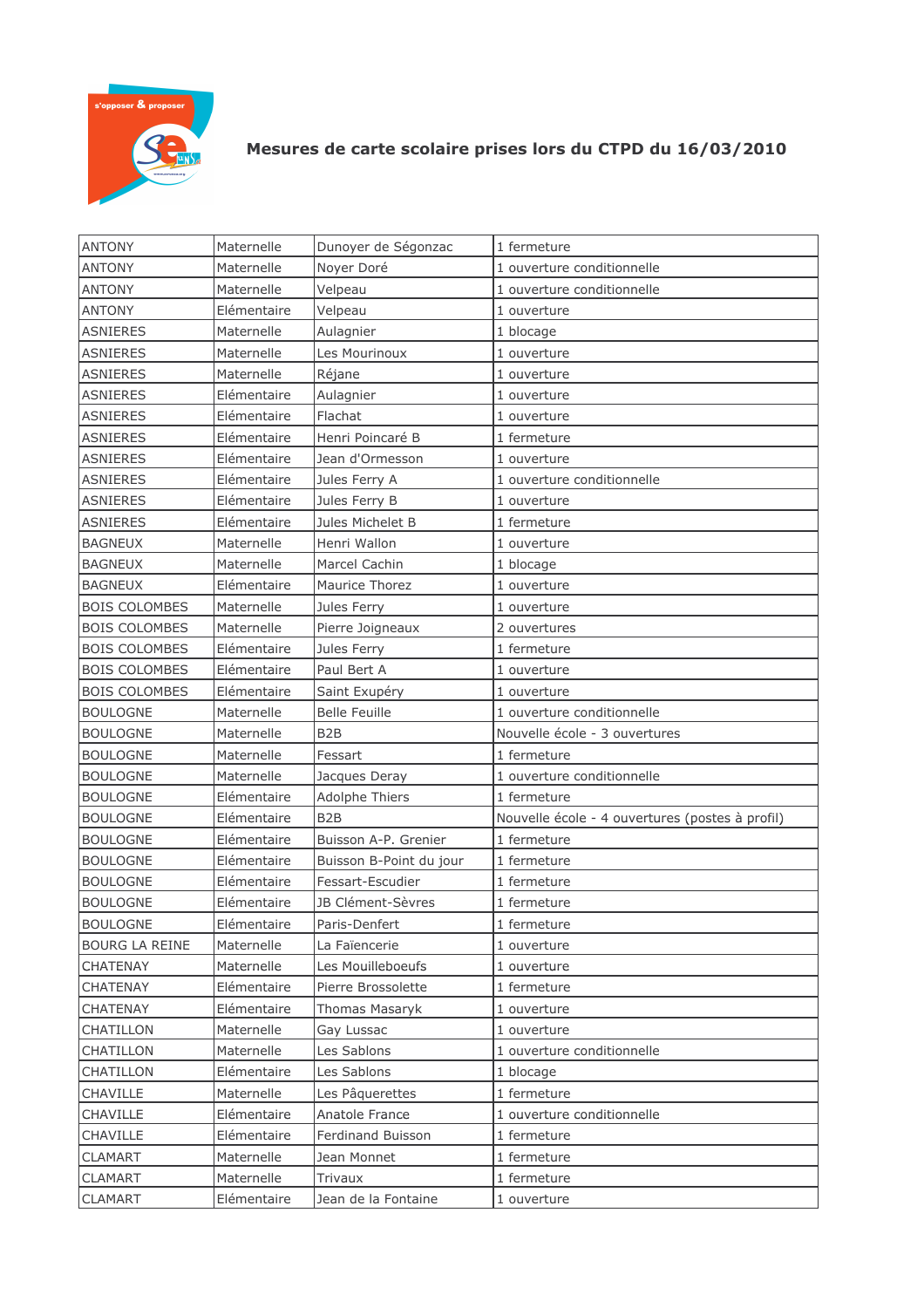

## Mesures de carte scolaire prises lors du CTPD du 16/03/2010

| <b>ANTONY</b>        | Maternelle  | Dunoyer de Ségonzac     | 1 fermeture                                     |
|----------------------|-------------|-------------------------|-------------------------------------------------|
| <b>ANTONY</b>        | Maternelle  | Noyer Doré              | 1 ouverture conditionnelle                      |
| <b>ANTONY</b>        | Maternelle  | Velpeau                 | 1 ouverture conditionnelle                      |
| <b>ANTONY</b>        | Elémentaire | Velpeau                 | 1 ouverture                                     |
| <b>ASNIERES</b>      | Maternelle  | Aulagnier               | 1 blocage                                       |
| <b>ASNIERES</b>      | Maternelle  | Les Mourinoux           | 1 ouverture                                     |
| <b>ASNIERES</b>      | Maternelle  | Réjane                  | 1 ouverture                                     |
| <b>ASNIERES</b>      | Elémentaire | Aulagnier               | 1 ouverture                                     |
| <b>ASNIERES</b>      | Elémentaire | Flachat                 | 1 ouverture                                     |
| <b>ASNIERES</b>      | Elémentaire | Henri Poincaré B        | 1 fermeture                                     |
| <b>ASNIERES</b>      | Elémentaire | Jean d'Ormesson         | 1 ouverture                                     |
| <b>ASNIERES</b>      | Elémentaire | Jules Ferry A           | 1 ouverture conditionnelle                      |
| <b>ASNIERES</b>      | Elémentaire | Jules Ferry B           | 1 ouverture                                     |
| <b>ASNIERES</b>      | Elémentaire | Jules Michelet B        | 1 fermeture                                     |
| <b>BAGNEUX</b>       | Maternelle  | Henri Wallon            | 1 ouverture                                     |
| <b>BAGNEUX</b>       | Maternelle  | Marcel Cachin           | 1 blocage                                       |
| <b>BAGNEUX</b>       | Elémentaire | Maurice Thorez          | 1 ouverture                                     |
| <b>BOIS COLOMBES</b> | Maternelle  | Jules Ferry             | 1 ouverture                                     |
| <b>BOIS COLOMBES</b> | Maternelle  | Pierre Joigneaux        | 2 ouvertures                                    |
| <b>BOIS COLOMBES</b> | Elémentaire | Jules Ferry             | 1 fermeture                                     |
| <b>BOIS COLOMBES</b> | Elémentaire | Paul Bert A             | 1 ouverture                                     |
| <b>BOIS COLOMBES</b> | Elémentaire | Saint Exupéry           | 1 ouverture                                     |
| <b>BOULOGNE</b>      | Maternelle  | <b>Belle Feuille</b>    | 1 ouverture conditionnelle                      |
| <b>BOULOGNE</b>      | Maternelle  | B <sub>2</sub> B        | Nouvelle école - 3 ouvertures                   |
| <b>BOULOGNE</b>      | Maternelle  | Fessart                 | 1 fermeture                                     |
| <b>BOULOGNE</b>      | Maternelle  | Jacques Deray           | 1 ouverture conditionnelle                      |
| <b>BOULOGNE</b>      | Elémentaire | Adolphe Thiers          | 1 fermeture                                     |
| <b>BOULOGNE</b>      | Elémentaire | B <sub>2</sub> B        | Nouvelle école - 4 ouvertures (postes à profil) |
| <b>BOULOGNE</b>      | Elémentaire | Buisson A-P. Grenier    | 1 fermeture                                     |
| <b>BOULOGNE</b>      | Elémentaire | Buisson B-Point du jour | 1 fermeture                                     |
| <b>BOULOGNE</b>      | Elémentaire | Fessart-Escudier        | 1 fermeture                                     |
| <b>BOULOGNE</b>      | Elémentaire | JB Clément-Sèvres       | 1 fermeture                                     |
| <b>BOULOGNE</b>      | Elémentaire | Paris-Denfert           | 1 fermeture                                     |
| BOURG LA REINE       | Maternelle  | La Faïencerie           | 1 ouverture                                     |
| <b>CHATENAY</b>      | Maternelle  | Les Mouilleboeufs       | 1 ouverture                                     |
| <b>CHATENAY</b>      | Elémentaire | Pierre Brossolette      | 1 fermeture                                     |
| <b>CHATENAY</b>      | Elémentaire | Thomas Masaryk          | 1 ouverture                                     |
| CHATILLON            | Maternelle  | Gay Lussac              | 1 ouverture                                     |
| CHATILLON            | Maternelle  | Les Sablons             | 1 ouverture conditionnelle                      |
| CHATILLON            | Elémentaire | Les Sablons             | 1 blocage                                       |
| CHAVILLE             | Maternelle  | Les Pâquerettes         | 1 fermeture                                     |
| CHAVILLE             | Elémentaire | Anatole France          | 1 ouverture conditionnelle                      |
| CHAVILLE             | Elémentaire | Ferdinand Buisson       | 1 fermeture                                     |
| CLAMART              | Maternelle  | Jean Monnet             | 1 fermeture                                     |
| <b>CLAMART</b>       | Maternelle  | Trivaux                 | 1 fermeture                                     |
| <b>CLAMART</b>       | Elémentaire | Jean de la Fontaine     | 1 ouverture                                     |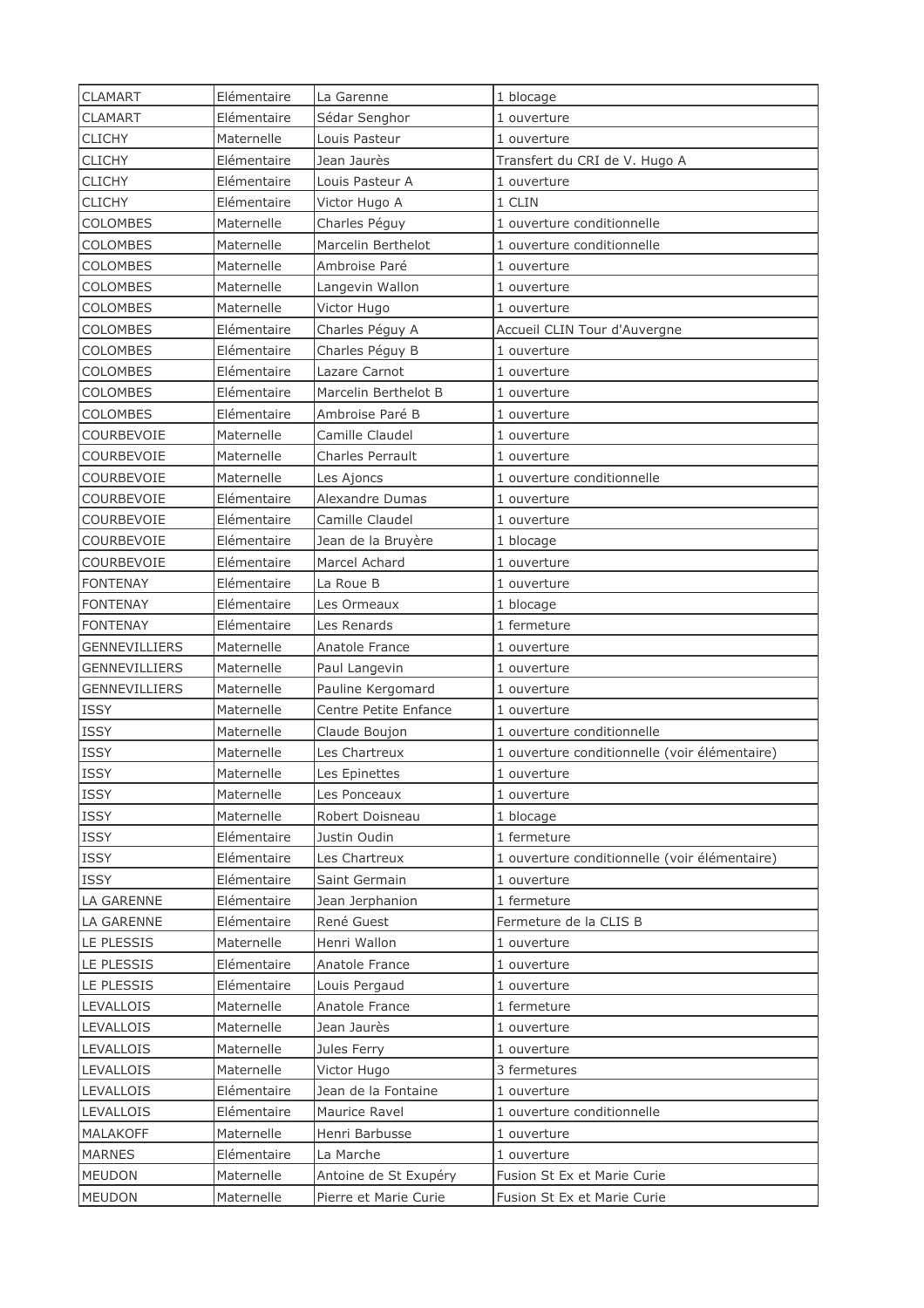| <b>CLAMART</b>       | Elémentaire | La Garenne              | 1 blocage                                     |
|----------------------|-------------|-------------------------|-----------------------------------------------|
| <b>CLAMART</b>       | Elémentaire | Sédar Senghor           | 1 ouverture                                   |
| <b>CLICHY</b>        | Maternelle  | Louis Pasteur           | 1 ouverture                                   |
| <b>CLICHY</b>        | Elémentaire | Jean Jaurès             | Transfert du CRI de V. Hugo A                 |
| <b>CLICHY</b>        | Elémentaire | Louis Pasteur A         | 1 ouverture                                   |
| <b>CLICHY</b>        | Elémentaire | Victor Hugo A           | 1 CLIN                                        |
| <b>COLOMBES</b>      | Maternelle  | Charles Péguy           | 1 ouverture conditionnelle                    |
| <b>COLOMBES</b>      | Maternelle  | Marcelin Berthelot      | 1 ouverture conditionnelle                    |
| <b>COLOMBES</b>      | Maternelle  | Ambroise Paré           | 1 ouverture                                   |
| COLOMBES             | Maternelle  | Langevin Wallon         | 1 ouverture                                   |
| <b>COLOMBES</b>      | Maternelle  | Victor Hugo             | 1 ouverture                                   |
| <b>COLOMBES</b>      | Elémentaire | Charles Péguy A         | Accueil CLIN Tour d'Auvergne                  |
| <b>COLOMBES</b>      | Elémentaire | Charles Péguy B         | 1 ouverture                                   |
| COLOMBES             | Elémentaire | Lazare Carnot           | 1 ouverture                                   |
| <b>COLOMBES</b>      | Elémentaire | Marcelin Berthelot B    | 1 ouverture                                   |
| COLOMBES             | Elémentaire | Ambroise Paré B         | 1 ouverture                                   |
| COURBEVOIE           | Maternelle  | Camille Claudel         | 1 ouverture                                   |
| COURBEVOIE           | Maternelle  | <b>Charles Perrault</b> | 1 ouverture                                   |
| COURBEVOIE           | Maternelle  | Les Ajoncs              | 1 ouverture conditionnelle                    |
| COURBEVOIE           | Elémentaire | Alexandre Dumas         | 1 ouverture                                   |
| COURBEVOIE           | Elémentaire | Camille Claudel         | 1 ouverture                                   |
| COURBEVOIE           | Elémentaire | Jean de la Bruyère      | 1 blocage                                     |
| COURBEVOIE           | Elémentaire | Marcel Achard           | 1 ouverture                                   |
| <b>FONTENAY</b>      | Elémentaire | La Roue B               | 1 ouverture                                   |
| <b>FONTENAY</b>      | Elémentaire | Les Ormeaux             | 1 blocage                                     |
| <b>FONTENAY</b>      | Elémentaire | Les Renards             | 1 fermeture                                   |
| <b>GENNEVILLIERS</b> | Maternelle  | Anatole France          | 1 ouverture                                   |
| GENNEVILLIERS        | Maternelle  | Paul Langevin           | 1 ouverture                                   |
| <b>GENNEVILLIERS</b> | Maternelle  | Pauline Kergomard       | 1 ouverture                                   |
| <b>ISSY</b>          | Maternelle  | Centre Petite Enfance   | 1 ouverture                                   |
| <b>ISSY</b>          | Maternelle  | Claude Boujon           | 1 ouverture conditionnelle                    |
| <b>ISSY</b>          | Maternelle  | Les Chartreux           | 1 ouverture conditionnelle (voir élémentaire) |
| <b>ISSY</b>          | Maternelle  | Les Epinettes           | 1 ouverture                                   |
| <b>ISSY</b>          | Maternelle  | Les Ponceaux            | 1 ouverture                                   |
| <b>ISSY</b>          | Maternelle  | Robert Doisneau         | 1 blocage                                     |
| ISSY                 | Elémentaire | Justin Oudin            | 1 fermeture                                   |
| <b>ISSY</b>          | Elémentaire | Les Chartreux           | 1 ouverture conditionnelle (voir élémentaire) |
| <b>ISSY</b>          | Elémentaire | Saint Germain           | 1 ouverture                                   |
| LA GARENNE           | Elémentaire | Jean Jerphanion         | 1 fermeture                                   |
| LA GARENNE           | Elémentaire | René Guest              | Fermeture de la CLIS B                        |
| LE PLESSIS           | Maternelle  | Henri Wallon            | 1 ouverture                                   |
|                      | Elémentaire |                         |                                               |
| LE PLESSIS           |             | Anatole France          | 1 ouverture                                   |
| LE PLESSIS           | Elémentaire | Louis Pergaud           | 1 ouverture                                   |
| <b>LEVALLOIS</b>     | Maternelle  | Anatole France          | 1 fermeture                                   |
| <b>LEVALLOIS</b>     | Maternelle  | Jean Jaurès             | 1 ouverture                                   |
| <b>LEVALLOIS</b>     | Maternelle  | Jules Ferry             | 1 ouverture                                   |
| LEVALLOIS            | Maternelle  | Victor Hugo             | 3 fermetures                                  |
| LEVALLOIS            | Elémentaire | Jean de la Fontaine     | 1 ouverture                                   |
| <b>LEVALLOIS</b>     | Elémentaire | Maurice Ravel           | 1 ouverture conditionnelle                    |
| <b>MALAKOFF</b>      | Maternelle  | Henri Barbusse          | 1 ouverture                                   |
| <b>MARNES</b>        | Elémentaire | La Marche               | 1 ouverture                                   |
| <b>MEUDON</b>        | Maternelle  | Antoine de St Exupéry   | Fusion St Ex et Marie Curie                   |
| <b>MEUDON</b>        | Maternelle  | Pierre et Marie Curie   | Fusion St Ex et Marie Curie                   |